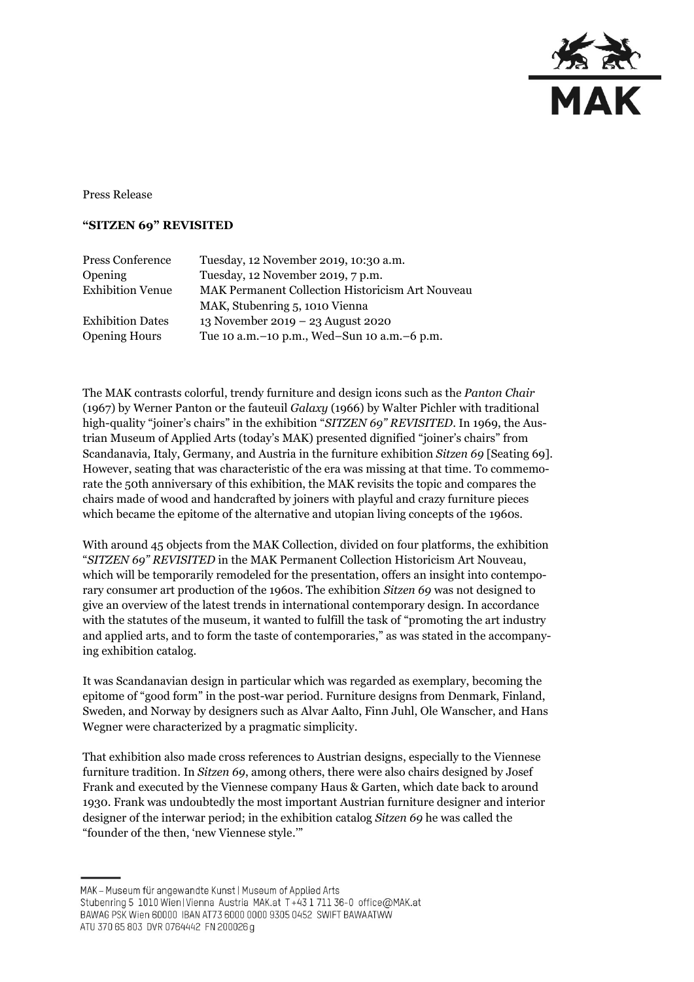

Press Release

## **"SITZEN 69" REVISITED**

| Press Conference        | Tuesday, 12 November 2019, 10:30 a.m.            |
|-------------------------|--------------------------------------------------|
| Opening                 | Tuesday, 12 November 2019, 7 p.m.                |
| <b>Exhibition Venue</b> | MAK Permanent Collection Historicism Art Nouveau |
|                         | MAK, Stubenring 5, 1010 Vienna                   |
| <b>Exhibition Dates</b> | 13 November 2019 – 23 August 2020                |
| <b>Opening Hours</b>    | Tue 10 a.m. - 10 p.m., Wed-Sun 10 a.m. - 6 p.m.  |
|                         |                                                  |

The MAK contrasts colorful, trendy furniture and design icons such as the *Panton Chair* (1967) by Werner Panton or the fauteuil *Galaxy* (1966) by Walter Pichler with traditional high-quality "joiner's chairs" in the exhibition "*SITZEN 69" REVISITED*. In 1969, the Austrian Museum of Applied Arts (today's MAK) presented dignified "joiner's chairs" from Scandanavia, Italy, Germany, and Austria in the furniture exhibition *Sitzen 69* [Seating 69]. However, seating that was characteristic of the era was missing at that time. To commemorate the 50th anniversary of this exhibition, the MAK revisits the topic and compares the chairs made of wood and handcrafted by joiners with playful and crazy furniture pieces which became the epitome of the alternative and utopian living concepts of the 1960s.

With around 45 objects from the MAK Collection, divided on four platforms, the exhibition "*SITZEN 69" REVISITED* in the MAK Permanent Collection Historicism Art Nouveau, which will be temporarily remodeled for the presentation, offers an insight into contemporary consumer art production of the 1960s. The exhibition *Sitzen 69* was not designed to give an overview of the latest trends in international contemporary design. In accordance with the statutes of the museum, it wanted to fulfill the task of "promoting the art industry and applied arts, and to form the taste of contemporaries," as was stated in the accompanying exhibition catalog.

It was Scandanavian design in particular which was regarded as exemplary, becoming the epitome of "good form" in the post-war period. Furniture designs from Denmark, Finland, Sweden, and Norway by designers such as Alvar Aalto, Finn Juhl, Ole Wanscher, and Hans Wegner were characterized by a pragmatic simplicity.

That exhibition also made cross references to Austrian designs, especially to the Viennese furniture tradition. In *Sitzen 69*, among others, there were also chairs designed by Josef Frank and executed by the Viennese company Haus & Garten, which date back to around 1930. Frank was undoubtedly the most important Austrian furniture designer and interior designer of the interwar period; in the exhibition catalog *Sitzen 69* he was called the "founder of the then, 'new Viennese style.'"

MAK - Museum für angewandte Kunst | Museum of Applied Arts

ATU 370 65 803 DVR 0764442 FN 200026 g

Stubenring 5 1010 Wien|Vienna Austria MAK.at T+43 1 711 36-0 office@MAK.at

BAWAG PSK Wien 60000 IBAN AT73 6000 0000 9305 0452 SWIFT BAWAATWW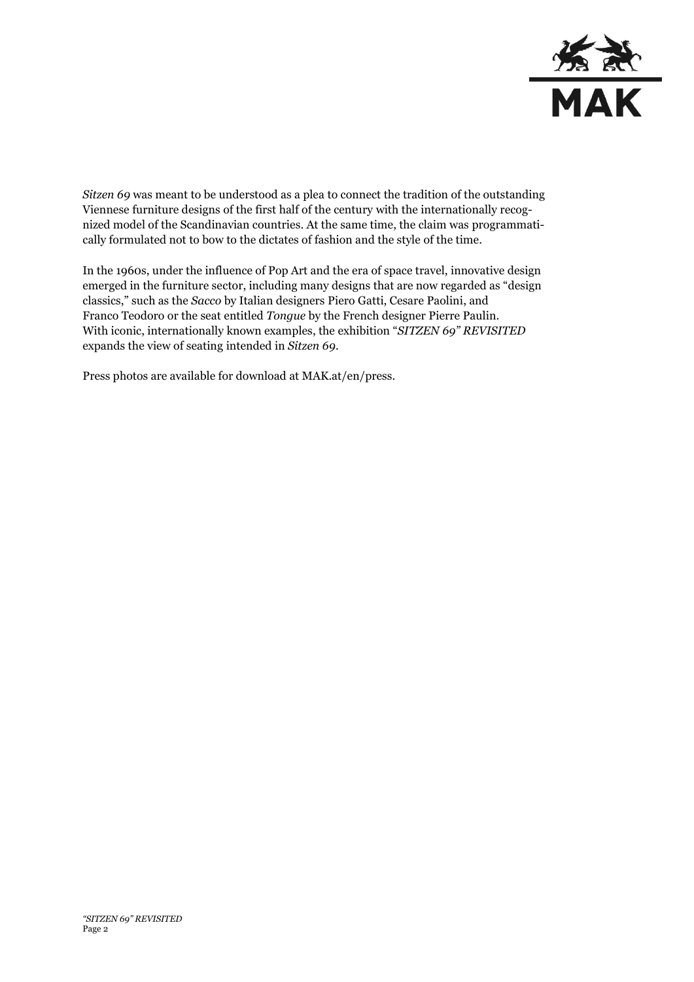

*Sitzen 69* was meant to be understood as a plea to connect the tradition of the outstanding Viennese furniture designs of the first half of the century with the internationally recognized model of the Scandinavian countries. At the same time, the claim was programmatically formulated not to bow to the dictates of fashion and the style of the time.

In the 1960s, under the influence of Pop Art and the era of space travel, innovative design emerged in the furniture sector, including many designs that are now regarded as "design classics," such as the *Sacco* by Italian designers Piero Gatti, Cesare Paolini, and Franco Teodoro or the seat entitled *Tongue* by the French designer Pierre Paulin. With iconic, internationally known examples, the exhibition "*SITZEN 69" REVISITED* expands the view of seating intended in *Sitzen 69*.

Press photos are available for download at MAK.at/en/press.